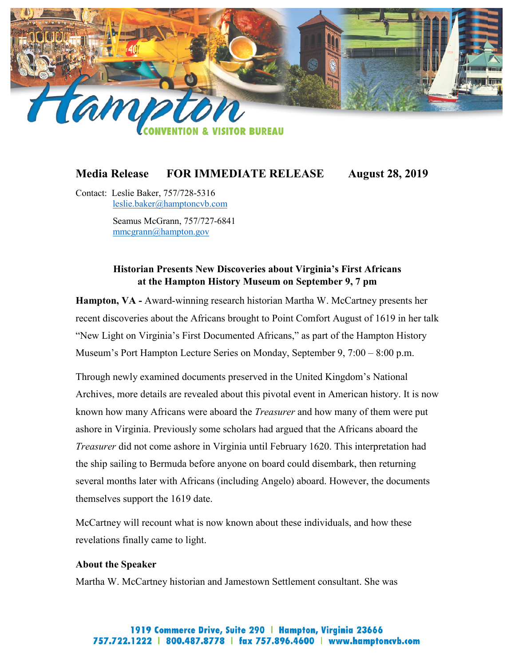

# **Media Release FOR IMMEDIATE RELEASE August 28, 2019**

Contact: Leslie Baker, 757/728-5316 [leslie.baker@hamptoncvb.com](mailto:leslie.baker@hamptoncvb.com)

> Seamus McGrann, 757/727-6841 [mmcgrann@hampton.gov](mailto:mmcgrann@hampton.gov)

# **Historian Presents New Discoveries about Virginia's First Africans at the Hampton History Museum on September 9, 7 pm**

**Hampton, VA -** Award-winning research historian Martha W. McCartney presents her recent discoveries about the Africans brought to Point Comfort August of 1619 in her talk "New Light on Virginia's First Documented Africans," as part of the Hampton History Museum's Port Hampton Lecture Series on Monday, September 9, 7:00 – 8:00 p.m.

Through newly examined documents preserved in the United Kingdom's National Archives, more details are revealed about this pivotal event in American history. It is now known how many Africans were aboard the *Treasurer* and how many of them were put ashore in Virginia. Previously some scholars had argued that the Africans aboard the *Treasurer* did not come ashore in Virginia until February 1620. This interpretation had the ship sailing to Bermuda before anyone on board could disembark, then returning several months later with Africans (including Angelo) aboard. However, the documents themselves support the 1619 date.

McCartney will recount what is now known about these individuals, and how these revelations finally came to light.

### **About the Speaker**

Martha W. McCartney historian and Jamestown Settlement consultant. She was

## 1919 Commerce Drive, Suite 290 | Hampton, Virginia 23666 757.722.1222 | 800.487.8778 | fax 757.896.4600 | www.hamptoncvb.com